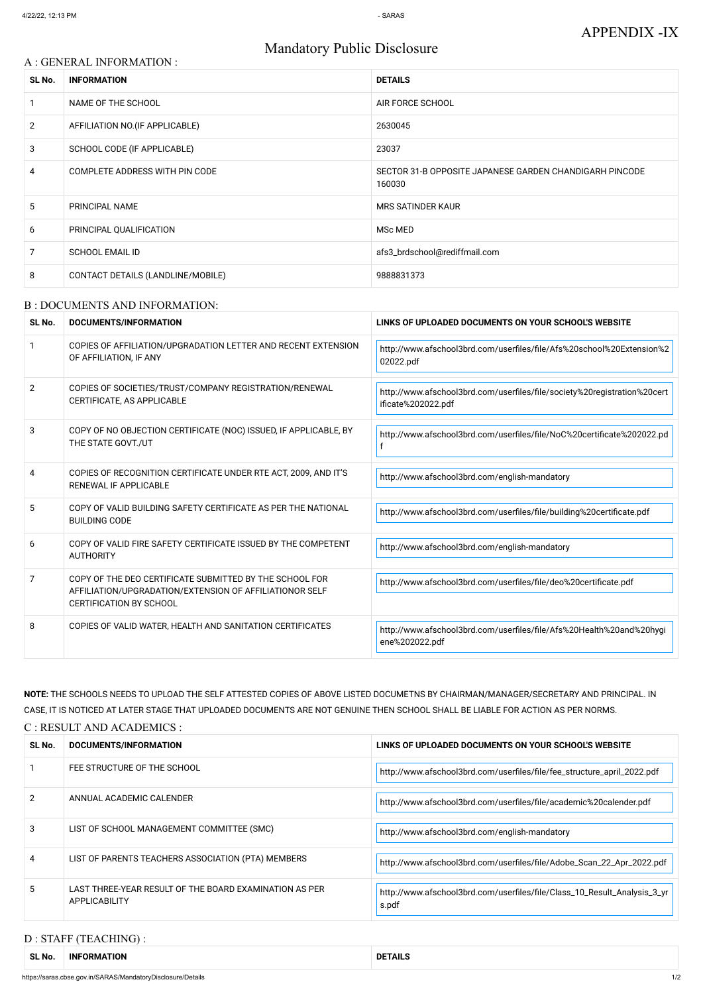# Mandatory Public Disclosure

#### A : GENERAL INFORMATION :

| SL No.         | <b>INFORMATION</b>                | <b>DETAILS</b>                                                    |
|----------------|-----------------------------------|-------------------------------------------------------------------|
|                | NAME OF THE SCHOOL                | AIR FORCE SCHOOL                                                  |
| $\overline{2}$ | AFFILIATION NO. (IF APPLICABLE)   | 2630045                                                           |
| 3              | SCHOOL CODE (IF APPLICABLE)       | 23037                                                             |
| 4              | COMPLETE ADDRESS WITH PIN CODE    | SECTOR 31-B OPPOSITE JAPANESE GARDEN CHANDIGARH PINCODE<br>160030 |
| 5              | PRINCIPAL NAME                    | <b>MRS SATINDER KAUR</b>                                          |
| 6              | PRINCIPAL QUALIFICATION           | MSc MED                                                           |
| 7              | <b>SCHOOL EMAIL ID</b>            | afs3_brdschool@rediffmail.com                                     |
| 8              | CONTACT DETAILS (LANDLINE/MOBILE) | 9888831373                                                        |

#### B : DOCUMENTS AND INFORMATION:

| SL No.         | DOCUMENTS/INFORMATION                                                                                                                                | LINKS OF UPLOADED DOCUMENTS ON YOUR SCHOOL'S WEBSITE                                           |  |
|----------------|------------------------------------------------------------------------------------------------------------------------------------------------------|------------------------------------------------------------------------------------------------|--|
|                | COPIES OF AFFILIATION/UPGRADATION LETTER AND RECENT EXTENSION<br>OF AFFILIATION, IF ANY                                                              | http://www.afschool3brd.com/userfiles/file/Afs%20school%20Extension%2<br>02022.pdf             |  |
| 2              | COPIES OF SOCIETIES/TRUST/COMPANY REGISTRATION/RENEWAL<br>CERTIFICATE, AS APPLICABLE                                                                 | http://www.afschool3brd.com/userfiles/file/society%20registration%20cert<br>ificate%202022.pdf |  |
| 3              | COPY OF NO OBJECTION CERTIFICATE (NOC) ISSUED, IF APPLICABLE, BY<br>THE STATE GOVT./UT                                                               | http://www.afschool3brd.com/userfiles/file/NoC%20certificate%202022.pd                         |  |
| $\overline{4}$ | COPIES OF RECOGNITION CERTIFICATE UNDER RTE ACT, 2009, AND IT'S<br><b>RENEWAL IF APPLICABLE</b>                                                      | http://www.afschool3brd.com/english-mandatory                                                  |  |
| 5              | COPY OF VALID BUILDING SAFETY CERTIFICATE AS PER THE NATIONAL<br><b>BUILDING CODE</b>                                                                | http://www.afschool3brd.com/userfiles/file/building%20certificate.pdf                          |  |
| 6              | COPY OF VALID FIRE SAFETY CERTIFICATE ISSUED BY THE COMPETENT<br><b>AUTHORITY</b>                                                                    | http://www.afschool3brd.com/english-mandatory                                                  |  |
| $\overline{7}$ | COPY OF THE DEO CERTIFICATE SUBMITTED BY THE SCHOOL FOR<br>AFFILIATION/UPGRADATION/EXTENSION OF AFFILIATIONOR SELF<br><b>CERTIFICATION BY SCHOOL</b> | http://www.afschool3brd.com/userfiles/file/deo%20certificate.pdf                               |  |
| 8              | COPIES OF VALID WATER, HEALTH AND SANITATION CERTIFICATES                                                                                            | http://www.afschool3brd.com/userfiles/file/Afs%20Health%20and%20hygi<br>ene%202022.pdf         |  |

| SL No. | DOCUMENTS/INFORMATION                                                          | LINKS OF UPLOADED DOCUMENTS ON YOUR SCHOOL'S WEBSITE                              |
|--------|--------------------------------------------------------------------------------|-----------------------------------------------------------------------------------|
|        | FEE STRUCTURE OF THE SCHOOL                                                    | http://www.afschool3brd.com/userfiles/file/fee_structure_april_2022.pdf           |
|        | ANNUAL ACADEMIC CALENDER                                                       | http://www.afschool3brd.com/userfiles/file/academic%20calender.pdf                |
| 3      | LIST OF SCHOOL MANAGEMENT COMMITTEE (SMC)                                      | http://www.afschool3brd.com/english-mandatory                                     |
| 4      | LIST OF PARENTS TEACHERS ASSOCIATION (PTA) MEMBERS                             | http://www.afschool3brd.com/userfiles/file/Adobe_Scan_22_Apr_2022.pdf             |
| 5      | LAST THREE-YEAR RESULT OF THE BOARD EXAMINATION AS PER<br><b>APPLICABILITY</b> | http://www.afschool3brd.com/userfiles/file/Class_10_Result_Analysis_3_yr<br>s.pdf |

**NOTE:** THE SCHOOLS NEEDS TO UPLOAD THE SELF ATTESTED COPIES OF ABOVE LISTED DOCUMETNS BY CHAIRMAN/MANAGER/SECRETARY AND PRINCIPAL. IN CASE, IT IS NOTICED AT LATER STAGE THAT UPLOADED DOCUMENTS ARE NOT GENUINE THEN SCHOOL SHALL BE LIABLE FOR ACTION AS PER NORMS.

C : RESULT AND ACADEMICS :

## D : STAFF (TEACHING) :

| <b>SLN</b><br>NO. | -INF<br>-ORMATION | TAIL.<br>DE<br>. |
|-------------------|-------------------|------------------|
|-------------------|-------------------|------------------|